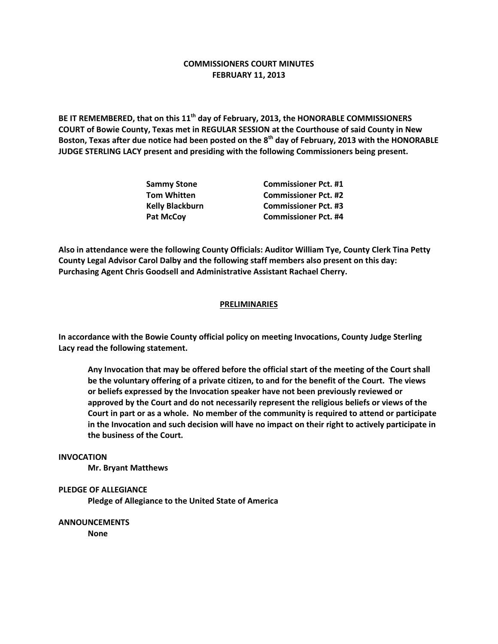# **COMMISSIONERS COURT MINUTES FEBRUARY 11, 2013**

**BE IT REMEMBERED, that on this 11th day of February, 2013, the HONORABLE COMMISSIONERS COURT of Bowie County, Texas met in REGULAR SESSION at the Courthouse of said County in New Boston, Texas after due notice had been posted on the 8th day of February, 2013 with the HONORABLE JUDGE STERLING LACY present and presiding with the following Commissioners being present.**

| <b>Sammy Stone</b>     | <b>Commissioner Pct. #1</b> |
|------------------------|-----------------------------|
| <b>Tom Whitten</b>     | <b>Commissioner Pct. #2</b> |
| <b>Kelly Blackburn</b> | <b>Commissioner Pct. #3</b> |
| Pat McCoy              | <b>Commissioner Pct. #4</b> |

**Also in attendance were the following County Officials: Auditor William Tye, County Clerk Tina Petty County Legal Advisor Carol Dalby and the following staff members also present on this day: Purchasing Agent Chris Goodsell and Administrative Assistant Rachael Cherry.**

### **PRELIMINARIES**

**In accordance with the Bowie County official policy on meeting Invocations, County Judge Sterling Lacy read the following statement.**

**Any Invocation that may be offered before the official start of the meeting of the Court shall be the voluntary offering of a private citizen, to and for the benefit of the Court. The views or beliefs expressed by the Invocation speaker have not been previously reviewed or approved by the Court and do not necessarily represent the religious beliefs or views of the Court in part or as a whole. No member of the community is required to attend or participate in the Invocation and such decision will have no impact on their right to actively participate in the business of the Court.**

#### **INVOCATION**

**Mr. Bryant Matthews**

#### **PLEDGE OF ALLEGIANCE**

**Pledge of Allegiance to the United State of America**

**ANNOUNCEMENTS**

**None**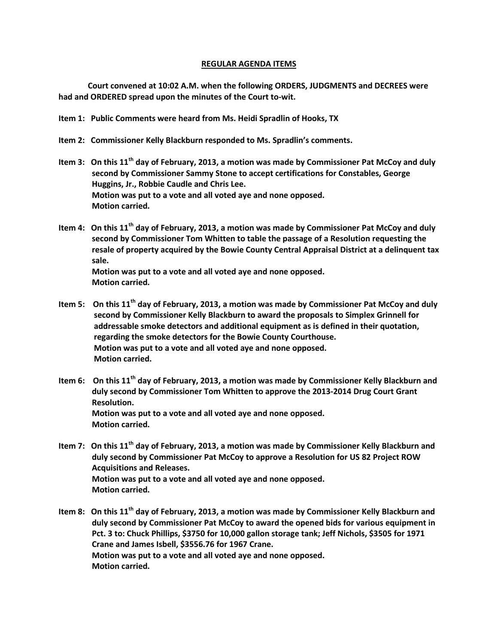## **REGULAR AGENDA ITEMS**

**Court convened at 10:02 A.M. when the following ORDERS, JUDGMENTS and DECREES were had and ORDERED spread upon the minutes of the Court to-wit.**

- **Item 1: Public Comments were heard from Ms. Heidi Spradlin of Hooks, TX**
- **Item 2: Commissioner Kelly Blackburn responded to Ms. Spradlin's comments.**
- **Item 3: On this 11th day of February, 2013, a motion was made by Commissioner Pat McCoy and duly second by Commissioner Sammy Stone to accept certifications for Constables, George Huggins, Jr., Robbie Caudle and Chris Lee. Motion was put to a vote and all voted aye and none opposed. Motion carried.**
- **Item 4: On this 11th day of February, 2013, a motion was made by Commissioner Pat McCoy and duly second by Commissioner Tom Whitten to table the passage of a Resolution requesting the resale of property acquired by the Bowie County Central Appraisal District at a delinquent tax sale.**

 **Motion was put to a vote and all voted aye and none opposed. Motion carried.**

- **Item 5: On this 11th day of February, 2013, a motion was made by Commissioner Pat McCoy and duly second by Commissioner Kelly Blackburn to award the proposals to Simplex Grinnell for addressable smoke detectors and additional equipment as is defined in their quotation, regarding the smoke detectors for the Bowie County Courthouse. Motion was put to a vote and all voted aye and none opposed. Motion carried.**
- **Item 6: On this 11th day of February, 2013, a motion was made by Commissioner Kelly Blackburn and duly second by Commissioner Tom Whitten to approve the 2013-2014 Drug Court Grant Resolution. Motion was put to a vote and all voted aye and none opposed. Motion carried.**
- **Item 7: On this 11th day of February, 2013, a motion was made by Commissioner Kelly Blackburn and duly second by Commissioner Pat McCoy to approve a Resolution for US 82 Project ROW Acquisitions and Releases. Motion was put to a vote and all voted aye and none opposed. Motion carried.**
- **Item 8: On this 11th day of February, 2013, a motion was made by Commissioner Kelly Blackburn and duly second by Commissioner Pat McCoy to award the opened bids for various equipment in Pct. 3 to: Chuck Phillips, \$3750 for 10,000 gallon storage tank; Jeff Nichols, \$3505 for 1971 Crane and James Isbell, \$3556.76 for 1967 Crane. Motion was put to a vote and all voted aye and none opposed. Motion carried.**